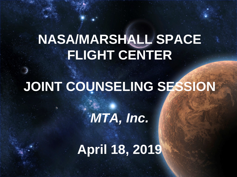## **NASA/MARSHALL SPACE FLIGHT CENTER**

## **JOINT COUNSELING SESSION**

*MTA, Inc.*

**April 18, 2019**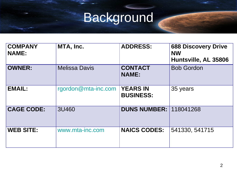# Background

| <b>COMPANY</b><br><b>NAME:</b> | MTA, Inc.            | <b>ADDRESS:</b>                     | <b>688 Discovery Drive</b><br><b>NW</b><br>Huntsville, AL 35806 |
|--------------------------------|----------------------|-------------------------------------|-----------------------------------------------------------------|
| <b>OWNER:</b>                  | <b>Melissa Davis</b> | <b>CONTACT</b><br><b>NAME:</b>      | <b>Bob Gordon</b>                                               |
| <b>EMAIL:</b>                  | rgordon@mta-inc.com  | <b>YEARS IN</b><br><b>BUSINESS:</b> | 35 years                                                        |
| <b>CAGE CODE:</b>              | 3U460                | <b>DUNS NUMBER: 118041268</b>       |                                                                 |
| <b>WEB SITE:</b>               | www.mta-inc.com      | <b>NAICS CODES:</b>                 | 541330, 541715                                                  |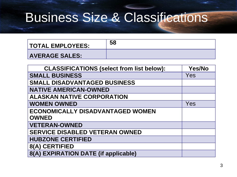### Business Size & Classifications

| <b>TOTAL EMPLOYEES:</b> |  |
|-------------------------|--|
| <b>AVERAGE SALES:</b>   |  |

| <b>CLASSIFICATIONS (select from list below):</b> | <b>Yes/No</b> |
|--------------------------------------------------|---------------|
| <b>SMALL BUSINESS</b>                            | Yes           |
| <b>SMALL DISADVANTAGED BUSINESS</b>              |               |
| <b>NATIVE AMERICAN-OWNED</b>                     |               |
| <b>ALASKAN NATIVE CORPORATION</b>                |               |
| <b>WOMEN OWNED</b>                               | Yes           |
| <b>ECONOMICALLY DISADVANTAGED WOMEN</b>          |               |
| <b>OWNED</b>                                     |               |
| <b>VETERAN-OWNED</b>                             |               |
| <b>SERVICE DISABLED VETERAN OWNED</b>            |               |
| <b>HUBZONE CERTIFIED</b>                         |               |
| 8(A) CERTIFIED                                   |               |
| 8(A) EXPIRATION DATE (if applicable)             |               |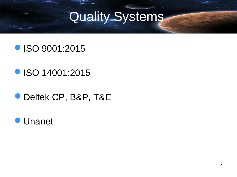## Quality Systems

#### **ISO 9001:2015**

#### **ISO 14001:2015**

#### Deltek CP, B&P, T&E

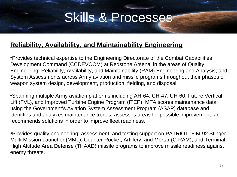#### Skills & Processes

#### **Reliability, Availability, and Maintainability Engineering**

•Provides technical expertise to the Engineering Directorate of the Combat Capabilities Development Command (CCDEVCOM) at Redstone Arsenal in the areas of Quality Engineering; Reliability, Availability, and Maintainability (RAM) Engineering and Analysis; and System Assessments across Army aviation and missile programs throughout their phases of weapon system design, development, production, fielding, and disposal.

•Spanning multiple Army aviation platforms including AH-64, CH-47, UH-60, Future Vertical Lift (FVL), and Improved Turbine Engine Program (ITEP), MTA scores maintenance data using the Government's Aviation System Assessment Program (ASAP) database and identifies and analyzes maintenance trends, assesses areas for possible improvement, and recommends solutions in order to improve fleet readiness.

•Provides quality engineering, assessment, and testing support on PATRIOT, FIM-92 Stinger, Multi-Mission Launcher (MML), Counter-Rocket, Artillery, and Mortar (C-RAM), and Terminal High Altitude Area Defense (THAAD) missile programs to improve missile readiness against enemy threats.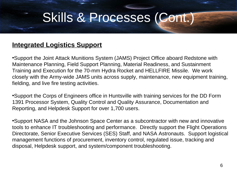### Skills & Processes (Cont.)

#### **Integrated Logistics Support**

•Support the Joint Attack Munitions System (JAMS) Project Office aboard Redstone with Maintenance Planning, Field Support Planning, Material Readiness, and Sustainment Training and Execution for the 70-mm Hydra Rocket and HELLFIRE Missile. We work closely with the Army-wide JAMS units across supply, maintenance, new equipment training, fielding, and live fire testing activities.

•Support the Corps of Engineers office in Huntsville with training services for the DD Form 1391 Processor System, Quality Control and Quality Assurance, Documentation and Reporting, and Helpdesk Support for over 1,700 users.

•Support NASA and the Johnson Space Center as a subcontractor with new and innovative tools to enhance IT troubleshooting and performance. Directly support the Flight Operations Directorate, Senior Executive Services (SES) Staff, and NASA Astronauts. Support logistical management functions of procurement, inventory control, regulated issue, tracking and disposal, Helpdesk support, and system/component troubleshooting.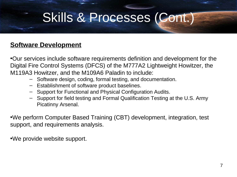### Skills & Processes (Cont.)

#### **Software Development**

•Our services include software requirements definition and development for the Digital Fire Control Systems (DFCS) of the M777A2 Lightweight Howitzer, the M119A3 Howitzer, and the M109A6 Paladin to include:

- ‒ Software design, coding, formal testing, and documentation.
- ‒ Establishment of software product baselines.
- ‒ Support for Functional and Physical Configuration Audits.
- ‒ Support for field testing and Formal Qualification Testing at the U.S. Army Picatinny Arsenal.

•We perform Computer Based Training (CBT) development, integration, test support, and requirements analysis.

•We provide website support.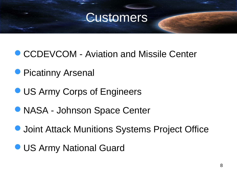

- **CCDEVCOM Aviation and Missile Center**
- **Picatinny Arsenal**
- **OUS Army Corps of Engineers**
- NASA Johnson Space Center
- **Joint Attack Munitions Systems Project Office**
- **US Army National Guard**